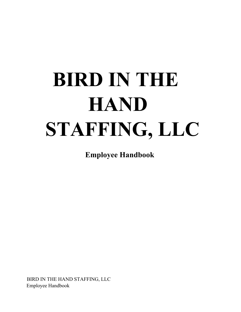# **BIRD IN THE HAND STAFFING, LLC**

**Employee Handbook**

BIRD IN THE HAND STAFFING, LLC Employee Handbook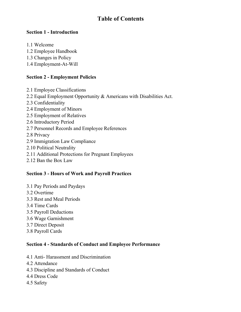# **Table of Contents**

#### **Section 1 - Introduction**

- 1.1 Welcome
- 1.2 Employee Handbook
- 1.3 Changes in Policy
- 1.4 Employment-At-Will

## **Section 2 - Employment Policies**

- 2.1 Employee Classifications 2.2 Equal Employment Opportunity & Americans with Disabilities Act. 2.3 Confidentiality 2.4 Employment of Minors 2.5 Employment of Relatives 2.6 Introductory Period 2.7 Personnel Records and Employee References 2.8 Privacy 2.9 Immigration Law Compliance 2.10 Political Neutrality
- 2.11 Additional Protections for Pregnant Employees
- 2.12 Ban the Box Law

# **Section 3 - Hours of Work and Payroll Practices**

- 3.1 Pay Periods and Paydays
- 3.2 Overtime
- 3.3 Rest and Meal Periods
- 3.4 Time Cards
- 3.5 Payroll Deductions
- 3.6 Wage Garnishment
- 3.7 Direct Deposit
- 3.8 Payroll Cards

#### **Section 4 - Standards of Conduct and Employee Performance**

- 4.1 Anti- Harassment and Discrimination
- 4.2 Attendance
- 4.3 Discipline and Standards of Conduct
- 4.4 Dress Code
- 4.5 Safety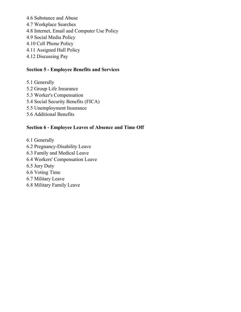4.6 Substance and Abuse 4.7 Workplace Searches 4.8 Internet, Email and Computer Use Policy 4.9 Social Media Policy 4.10 Cell Phone Policy 4.11 Assigned Hall Policy 4.12 Discussing Pay

#### **Section 5 - Employee Benefits and Services**

- 5.1 Generally
- 5.2 Group Life Insurance
- 5.3 Worker's Compensation
- 5.4 Social Security Benefits (FICA)
- 5.5 Unemployment Insurance
- 5.6 Additional Benefits

#### **Section 6 - Employee Leaves of Absence and Time Off**

6.1 Generally 6.2 Pregnancy-Disability Leave 6.3 Family and Medical Leave 6.4 Workers' Compensation Leave 6.5 Jury Duty 6.6 Voting Time 6.7 Military Leave 6.8 Military Family Leave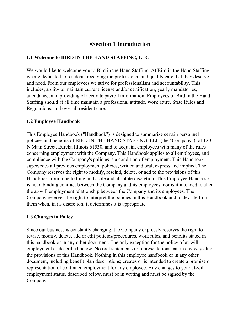# ·**Section 1 Introduction**

#### **1.1 Welcome to BIRD IN THE HAND STAFFING, LLC**

We would like to welcome you to Bird in the Hand Staffing. At Bird in the Hand Staffing we are dedicated to residents receiving the professional and quality care that they deserve and need. From our employees we strive for professionalism and accountability. This includes, ability to maintain current license and/or certification, yearly mandatories, attendance, and providing of accurate payroll information. Employees of Bird in the Hand Staffing should at all time maintain a professional attitude, work attire, State Rules and Regulations, and over all resident care.

#### **1.2 Employee Handbook**

This Employee Handbook ("Handbook") is designed to summarize certain personnel policies and benefits of BIRD IN THE HAND STAFFING, LLC (the "Company"), of 120 N Main Street, Eureka Illinois 61530, and to acquaint employees with many of the rules concerning employment with the Company. This Handbook applies to all employees, and compliance with the Company's policies is a condition of employment. This Handbook supersedes all previous employment policies, written and oral, express and implied. The Company reserves the right to modify, rescind, delete, or add to the provisions of this Handbook from time to time in its sole and absolute discretion. This Employee Handbook is not a binding contract between the Company and its employees, nor is it intended to alter the at-will employment relationship between the Company and its employees. The Company reserves the right to interpret the policies in this Handbook and to deviate from them when, in its discretion; it determines it is appropriate.

#### **1.3 Changes in Policy**

Since our business is constantly changing, the Company expressly reserves the right to revise, modify, delete, add or edit policies/procedures, work rules, and benefits stated in this handbook or in any other document. The only exception for the policy of at-will employment as described below. No oral statements or representations can in any way alter the provisions of this Handbook. Nothing in this employee handbook or in any other document, including benefit plan descriptions; creates or is intended to create a promise or representation of continued employment for any employee. Any changes to your at-will employment status, described below, must be in writing and must be signed by the Company.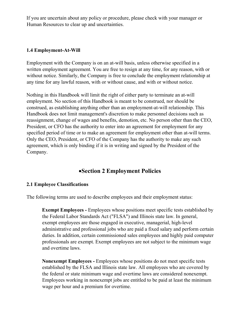If you are uncertain about any policy or procedure, please check with your manager or Human Resources to clear up and uncertainties.

#### **1.4 Employment-At-Will**

Employment with the Company is on an at-will basis, unless otherwise specified in a written employment agreement. You are free to resign at any time, for any reason, with or without notice. Similarly, the Company is free to conclude the employment relationship at any time for any lawful reason, with or without cause, and with or without notice.

Nothing in this Handbook will limit the right of either party to terminate an at-will employment. No section of this Handbook is meant to be construed, nor should be construed, as establishing anything other than an employment-at-will relationship. This Handbook does not limit management's discretion to make personnel decisions such as reassignment, change of wages and benefits, demotion, etc. No person other than the CEO, President, or CFO has the authority to enter into an agreement for employment for any specified period of time or to make an agreement for employment other than at-will terms. Only the CEO, President, or CFO of the Company has the authority to make any such agreement, which is only binding if it is in writing and signed by the President of the Company.

# ·**Section 2 Employment Policies**

#### **2.1 Employee Classifications**

The following terms are used to describe employees and their employment status:

**Exempt Employees -** Employees whose positions meet specific tests established by the Federal Labor Standards Act ("FLSA") and Illinois state law. In general, exempt employees are those engaged in executive, managerial, high-level administrative and professional jobs who are paid a fixed salary and perform certain duties. In addition, certain commissioned sales employees and highly paid computer professionals are exempt. Exempt employees are not subject to the minimum wage and overtime laws.

**Nonexempt Employees -** Employees whose positions do not meet specific tests established by the FLSA and Illinois state law. All employees who are covered by the federal or state minimum wage and overtime laws are considered nonexempt. Employees working in nonexempt jobs are entitled to be paid at least the minimum wage per hour and a premium for overtime.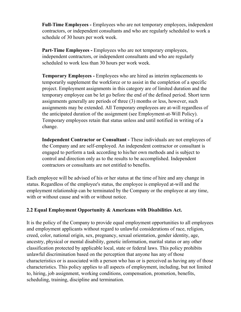**Full-Time Employees -** Employees who are not temporary employees, independent contractors, or independent consultants and who are regularly scheduled to work a schedule of 30 hours per work week.

**Part-Time Employees -** Employees who are not temporary employees, independent contractors, or independent consultants and who are regularly scheduled to work less than 30 hours per work week.

**Temporary Employees -** Employees who are hired as interim replacements to temporarily supplement the workforce or to assist in the completion of a specific project. Employment assignments in this category are of limited duration and the temporary employee can be let go before the end of the defined period. Short term assignments generally are periods of three (3) months or less, however, such assignments may be extended. All Temporary employees are at-will regardless of the anticipated duration of the assignment (see Employment-at-Will Policy). Temporary employees retain that status unless and until notified in writing of a change.

**Independent Contractor or Consultant -** These individuals are not employees of the Company and are self-employed. An independent contractor or consultant is engaged to perform a task according to his/her own methods and is subject to control and direction only as to the results to be accomplished. Independent contractors or consultants are not entitled to benefits.

Each employee will be advised of his or her status at the time of hire and any change in status. Regardless of the employee's status, the employee is employed at-will and the employment relationship can be terminated by the Company or the employee at any time, with or without cause and with or without notice.

#### **2.2 Equal Employment Opportunity & Americans with Disabilities Act.**

It is the policy of the Company to provide equal employment opportunities to all employees and employment applicants without regard to unlawful considerations of race, religion, creed, color, national origin, sex, pregnancy, sexual orientation, gender identity, age, ancestry, physical or mental disability, genetic information, marital status or any other classification protected by applicable local, state or federal laws. This policy prohibits unlawful discrimination based on the perception that anyone has any of those characteristics or is associated with a person who has or is perceived as having any of those characteristics. This policy applies to all aspects of employment, including, but not limited to, hiring, job assignment, working conditions, compensation, promotion, benefits, scheduling, training, discipline and termination.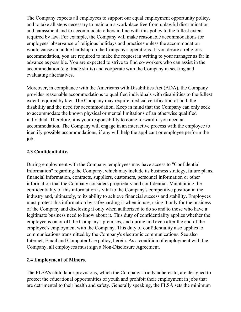The Company expects all employees to support our equal employment opportunity policy, and to take all steps necessary to maintain a workplace free from unlawful discrimination and harassment and to accommodate others in line with this policy to the fullest extent required by law. For example, the Company will make reasonable accommodations for employees' observance of religious holidays and practices unless the accommodation would cause an undue hardship on the Company's operations. If you desire a religious accommodation, you are required to make the request in writing to your manager as far in advance as possible. You are expected to strive to find co-workers who can assist in the accommodation (e.g. trade shifts) and cooperate with the Company in seeking and evaluating alternatives.

Moreover, in compliance with the Americans with Disabilities Act (ADA), the Company provides reasonable accommodations to qualified individuals with disabilities to the fullest extent required by law. The Company may require medical certification of both the disability and the need for accommodation. Keep in mind that the Company can only seek to accommodate the known physical or mental limitations of an otherwise qualified individual. Therefore, it is your responsibility to come forward if you need an accommodation. The Company will engage in an interactive process with the employee to identify possible accommodations, if any will help the applicant or employee perform the job.

#### **2.3 Confidentiality.**

During employment with the Company, employees may have access to "Confidential Information" regarding the Company, which may include its business strategy, future plans, financial information, contracts, suppliers, customers, personnel information or other information that the Company considers proprietary and confidential. Maintaining the confidentiality of this information is vital to the Company's competitive position in the industry and, ultimately, to its ability to achieve financial success and stability. Employees must protect this information by safeguarding it when in use, using it only for the business of the Company and disclosing it only when authorized to do so and to those who have a legitimate business need to know about it. This duty of confidentiality applies whether the employee is on or off the Company's premises, and during and even after the end of the employee's employment with the Company. This duty of confidentiality also applies to communications transmitted by the Company's electronic communications. See also Internet, Email and Computer Use policy, herein. As a condition of employment with the Company, all employees must sign a Non-Disclosure Agreement.

#### **2.4 Employment of Minors.**

The FLSA's child labor provisions, which the Company strictly adheres to, are designed to protect the educational opportunities of youth and prohibit their employment in jobs that are detrimental to their health and safety. Generally speaking, the FLSA sets the minimum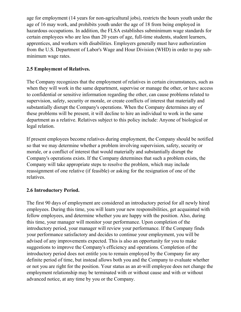age for employment (14 years for non-agricultural jobs), restricts the hours youth under the age of 16 may work, and prohibits youth under the age of 18 from being employed in hazardous occupations. In addition, the FLSA establishes subminimum wage standards for certain employees who are less than 20 years of age, full-time students, student learners, apprentices, and workers with disabilities. Employers generally must have authorization from the U.S. Department of Labor's Wage and Hour Division (WHD) in order to pay subminimum wage rates.

#### **2.5 Employment of Relatives.**

The Company recognizes that the employment of relatives in certain circumstances, such as when they will work in the same department, supervise or manage the other, or have access to confidential or sensitive information regarding the other, can cause problems related to supervision, safety, security or morale, or create conflicts of interest that materially and substantially disrupt the Company's operations. When the Company determines any of these problems will be present, it will decline to hire an individual to work in the same department as a relative. Relatives subject to this policy include: Anyone of biological or legal relation.

If present employees become relatives during employment, the Company should be notified so that we may determine whether a problem involving supervision, safety, security or morale, or a conflict of interest that would materially and substantially disrupt the Company's operations exists. If the Company determines that such a problem exists, the Company will take appropriate steps to resolve the problem, which may include reassignment of one relative (if feasible) or asking for the resignation of one of the relatives.

#### **2.6 Introductory Period.**

The first 90 days of employment are considered an introductory period for all newly hired employees. During this time, you will learn your new responsibilities, get acquainted with fellow employees, and determine whether you are happy with the position. Also, during this time, your manager will monitor your performance. Upon completion of the introductory period, your manager will review your performance. If the Company finds your performance satisfactory and decides to continue your employment, you will be advised of any improvements expected. This is also an opportunity for you to make suggestions to improve the Company's efficiency and operations. Completion of the introductory period does not entitle you to remain employed by the Company for any definite period of time, but instead allows both you and the Company to evaluate whether or not you are right for the position. Your status as an at-will employee does not change the employment relationship may be terminated with or without cause and with or without advanced notice, at any time by you or the Company.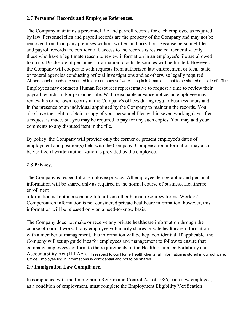## **2.7 Personnel Records and Employee References.**

The Company maintains a personnel file and payroll records for each employee as required by law. Personnel files and payroll records are the property of the Company and may not be removed from Company premises without written authorization. Because personnel files and payroll records are confidential, access to the records is restricted. Generally, only those who have a legitimate reason to review information in an employee's file are allowed to do so. Disclosure of personnel information to outside sources will be limited. However, the Company will cooperate with requests from authorized law enforcement or local, state, or federal agencies conducting official investigations and as otherwise legally required. All personnel records are secured in our company software. Log in information is not to be shared out side of office.

Employees may contact a Human Resources representative to request a time to review their payroll records and/or personnel file. With reasonable advance notice, an employee may review his or her own records in the Company's offices during regular business hours and in the presence of an individual appointed by the Company to maintain the records. You also have the right to obtain a copy of your personnel files within seven working days after a request is made, but you may be required to pay for any such copies. You may add your comments to any disputed item in the file.

By policy, the Company will provide only the former or present employee's dates of employment and position(s) held with the Company. Compensation information may also be verified if written authorization is provided by the employee.

# **2.8 Privacy.**

The Company is respectful of employee privacy. All employee demographic and personal information will be shared only as required in the normal course of business. Healthcare enrollment

information is kept in a separate folder from other human resources forms. Workers' Compensation information is not considered private healthcare information; however, this information will be released only on a need-to-know basis.

The Company does not make or receive any private healthcare information through the course of normal work. If any employee voluntarily shares private healthcare information with a member of management, this information will be kept confidential. If applicable, the Company will set up guidelines for employees and management to follow to ensure that company employees conform to the requirements of the Health Insurance Portability and Accountability Act (HIPAA). In respect to our Home Health clients, all information is stored in our software. Office Employee log in informations is confidential and not to be shared.

#### **2.9 Immigration Law Compliance.**

In compliance with the Immigration Reform and Control Act of 1986, each new employee, as a condition of employment, must complete the Employment Eligibility Verification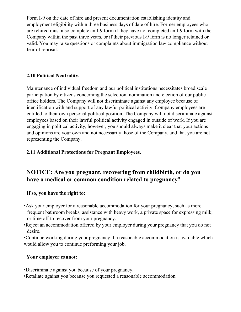Form I-9 on the date of hire and present documentation establishing identity and employment eligibility within three business days of date of hire. Former employees who are rehired must also complete an I-9 form if they have not completed an I-9 form with the Company within the past three years, or if their previous I-9 form is no longer retained or valid. You may raise questions or complaints about immigration law compliance without fear of reprisal.

## **2.10 Political Neutrality.**

Maintenance of individual freedom and our political institutions necessitates broad scale participation by citizens concerning the selection, nomination and election of our public office holders. The Company will not discriminate against any employee because of identification with and support of any lawful political activity. Company employees are entitled to their own personal political position. The Company will not discriminate against employees based on their lawful political activity engaged in outside of work. If you are engaging in political activity, however, you should always make it clear that your actions and opinions are your own and not necessarily those of the Company, and that you are not representing the Company.

## **2.11 Additional Protections for Pregnant Employees.**

# **NOTICE: Are you pregnant, recovering from childbirth, or do you have a medical or common condition related to pregnancy?**

#### **If so, you have the right to:**

- •Ask your employer for a reasonable accommodation for your pregnancy, such as more frequent bathroom breaks, assistance with heavy work, a private space for expressing milk, or time off to recover from your pregnancy.
- •Reject an accommodation offered by your employer during your pregnancy that you do not desire.

•Continue working during your pregnancy if a reasonable accommodation is available which would allow you to continue preforming your job.

#### **Your employer cannot:**

- •Discriminate against you because of your pregnancy.
- •Retaliate against you because you requested a reasonable accommodation.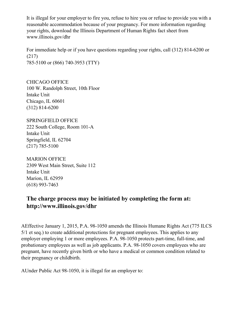It is illegal for your employer to fire you, refuse to hire you or refuse to provide you with a reasonable accommodation because of your pregnancy. For more information regarding your rights, download the Illinois Department of Human Rights fact sheet from www.illinois.gov/dhr

For immediate help or if you have questions regarding your rights, call (312) 814-6200 or (217) 785-5100 or (866) 740-3953 (TTY)

CHICAGO OFFICE 100 W. Randolph Street, 10th Floor Intake Unit Chicago, IL 60601 (312) 814-6200

SPRINGFIELD OFFICE 222 South College, Room 101-A Intake Unit Springfield, IL 62704 (217) 785-5100

MARION OFFICE 2309 West Main Street, Suite 112 Intake Unit Marion, IL 62959 (618) 993-7463

# **The charge process may be initiated by completing the form at: http://www.illinois.gov/dhr**

AEffective January 1, 2015, P.A. 98-1050 amends the Illinois Humane Rights Act (775 ILCS 5/1 et seq.) to create additional protections for pregnant employees. This applies to any employer employing 1 or more employees. P.A. 98-1050 protects part-time, full-time, and probationary employees as well as job applicants. P.A. 98-1050 covers employees who are pregnant, have recently given birth or who have a medical or common condition related to their pregnancy or childbirth.

AUnder Public Act 98-1050, it is illegal for an employer to: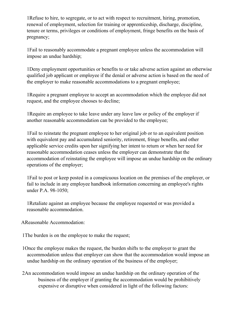1Refuse to hire, to segregate, or to act with respect to recruitment, hiring, promotion, renewal of employment, selection for training or apprenticeship, discharge, discipline, tenure or terms, privileges or conditions of employment, fringe benefits on the basis of pregnancy;

1Fail to reasonably accommodate a pregnant employee unless the accommodation will impose an undue hardship;

1Deny employment opportunities or benefits to or take adverse action against an otherwise qualified job applicant or employee if the denial or adverse action is based on the need of the employer to make reasonable accommodations to a pregnant employee;

1Require a pregnant employee to accept an accommodation which the employee did not request, and the employee chooses to decline;

1Require an employee to take leave under any leave law or policy of the employer if another reasonable accommodation can be provided to the employee;

1Fail to reinstate the pregnant employee to her original job or to an equivalent position with equivalent pay and accumulated seniority, retirement, fringe benefits, and other applicable service credits upon her signifying her intent to return or when her need for reasonable accommodation ceases unless the employer can demonstrate that the accommodation of reinstating the employee will impose an undue hardship on the ordinary operations of the employer;

1Fail to post or keep posted in a conspicuous location on the premises of the employer, or fail to include in any employee handbook information concerning an employee's rights under P.A. 98-1050;

1Retaliate against an employee because the employee requested or was provided a reasonable accommodation.

AReasonable Accommodation:

1The burden is on the employee to make the request;

- 1Once the employee makes the request, the burden shifts to the employer to grant the accommodation unless that employer can show that the accommodation would impose an undue hardship on the ordinary operation of the business of the employer;
- 2An accommodation would impose an undue hardship on the ordinary operation of the business of the employer if granting the accommodation would be prohibitively expensive or disruptive when considered in light of the following factors: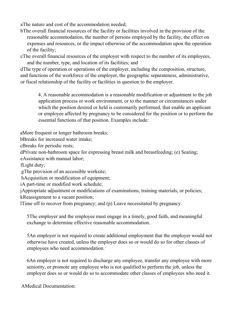aThe nature and cost of the accommodation needed;

bThe overall financial resources of the facility or facilities involved in the provision of the reasonable accommodation, the number of persons employed by the facility, the effect on expenses and resources, or the impact otherwise of the accommodation upon the operation of the facility;

cThe overall financial resources of the employer with respect to the number of its employees, and the number, type, and location of its facilities; and

dThe type of operation or operations of the employer, including the composition, structure, and functions of the workforce of the employer, the geographic separateness, administrative, or fiscal relationship of the facility or facilities in question to the employer.

4. A reasonable accommodation is a reasonable modification or adjustment to the job application process or work environment, or to the manner or circumstances under which the position desired or held is customarily performed, that enable an applicant or employee affected by pregnancy to be considered for the position or to perform the essential functions of that position. Examples include:

aMore frequent or longer bathroom breaks;

bBreaks for increased water intake;

cBreaks for periodic rests;

dPrivate non-bathroom space for expressing breast milk and breastfeeding; (e) Seating;

eAssistance with manual labor;

fLight duty;

gThe provision of an accessible worksite;

hAcquisition or modification of equipment;

iA part-time or modified work schedule;

jAppropriate adjustment or modifications of examinations, training materials, or policies; kReassignment to a vacant position;

lTime off to recover from pregnancy; and (p) Leave necessitated by pregnancy.

5The employer and the employee must engage in a timely, good faith, and meaningful exchange to determine effective reasonable accommodation.

5An employer is not required to create additional employment that the employer would not otherwise have created, unless the employer does so or would do so for other classes of employees who need accommodation.

6An employer is not required to discharge any employee, transfer any employee with more seniority, or promote any employee who is not qualified to perform the job, unless the employer does so or would do so to accommodate other classes of employees who need it.

AMedical Documentation: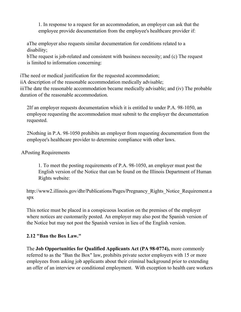1. In response to a request for an accommodation, an employer can ask that the employee provide documentation from the employee's healthcare provider if:

aThe employer also requests similar documentation for conditions related to a disability;

bThe request is job-related and consistent with business necessity; and (c) The request is limited to information concerning:

iThe need or medical justification for the requested accommodation; iiA description of the reasonable accommodation medically advisable; iiiThe date the reasonable accommodation became medically advisable; and (iv) The probable duration of the reasonable accommodation.

2If an employer requests documentation which it is entitled to under P.A. 98-1050, an employee requesting the accommodation must submit to the employer the documentation requested.

2Nothing in P.A. 98-1050 prohibits an employer from requesting documentation from the employee's healthcare provider to determine compliance with other laws.

#### APosting Requirements

1. To meet the posting requirements of P.A. 98-1050, an employer must post the English version of the Notice that can be found on the Illinois Department of Human Rights website:

http://www2.illinois.gov/dhr/Publications/Pages/Pregnancy Rights Notice Requirement.a spx

This notice must be placed in a conspicuous location on the premises of the employer where notices are customarily posted. An employer may also post the Spanish version of the Notice but may not post the Spanish version in lieu of the English version.

#### **2.12 "Ban the Box Law."**

The **Job Opportunities for Qualified Applicants Act (PA 98-0774),** more commonly referred to as the "Ban the Box" law, prohibits private sector employers with 15 or more employees from asking job applicants about their criminal background prior to extending an offer of an interview or conditional employment. With exception to health care workers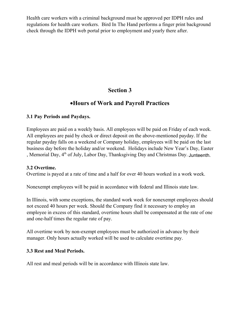Health care workers with a criminal background must be approved per IDPH rules and regulations for health care workers. Bird In The Hand performs a finger print background check through the IDPH web portal prior to employment and yearly there after.

# **Section 3**

# ·**Hours of Work and Payroll Practices**

#### **3.1 Pay Periods and Paydays.**

Employees are paid on a weekly basis. All employees will be paid on Friday of each week. All employees are paid by check or direct deposit on the above-mentioned payday. If the regular payday falls on a weekend or Company holiday, employees will be paid on the last business day before the holiday and/or weekend. Holidays include New Year's Day, Easter , Memorial Day, 4<sup>th</sup> of July, Labor Day, Thanksgiving Day and Christmas Day. Junteenth.

#### **3.2 Overtime.**

Overtime is payed at a rate of time and a half for over 40 hours worked in a work week.

Nonexempt employees will be paid in accordance with federal and Illinois state law.

In Illinois, with some exceptions, the standard work week for nonexempt employees should not exceed 40 hours per week. Should the Company find it necessary to employ an employee in excess of this standard, overtime hours shall be compensated at the rate of one and one-half times the regular rate of pay.

All overtime work by non-exempt employees must be authorized in advance by their manager. Only hours actually worked will be used to calculate overtime pay.

#### **3.3 Rest and Meal Periods.**

All rest and meal periods will be in accordance with Illinois state law.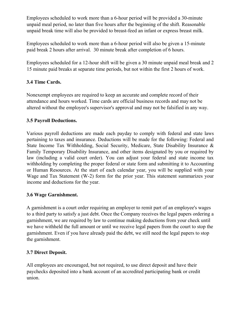Employees scheduled to work more than a 6-hour period will be provided a 30-minute unpaid meal period, no later than five hours after the beginning of the shift. Reasonable unpaid break time will also be provided to breast-feed an infant or express breast milk.

Employees scheduled to work more than a 6-hour period will also be given a 15-minute paid break 2 hours after arrival. 30 minute break after completion of 6 hours.

Employees scheduled for a 12-hour shift will be given a 30 minute unpaid meal break and 2 15 minute paid breaks at separate time periods, but not within the first 2 hours of work.

#### **3.4 Time Cards.**

Nonexempt employees are required to keep an accurate and complete record of their attendance and hours worked. Time cards are official business records and may not be altered without the employee's supervisor's approval and may not be falsified in any way.

# **3.5 Payroll Deductions.**

Various payroll deductions are made each payday to comply with federal and state laws pertaining to taxes and insurance. Deductions will be made for the following: Federal and State Income Tax Withholding, Social Security, Medicare, State Disability Insurance & Family Temporary Disability Insurance, and other items designated by you or required by law (including a valid court order). You can adjust your federal and state income tax withholding by completing the proper federal or state form and submitting it to Accounting or Human Resources. At the start of each calendar year, you will be supplied with your Wage and Tax Statement (W-2) form for the prior year. This statement summarizes your income and deductions for the year.

# **3.6 Wage Garnishment.**

A garnishment is a court order requiring an employer to remit part of an employee's wages to a third party to satisfy a just debt. Once the Company receives the legal papers ordering a garnishment, we are required by law to continue making deductions from your check until we have withheld the full amount or until we receive legal papers from the court to stop the garnishment. Even if you have already paid the debt, we still need the legal papers to stop the garnishment.

# **3.7 Direct Deposit.**

All employees are encouraged, but not required, to use direct deposit and have their paychecks deposited into a bank account of an accredited participating bank or credit union.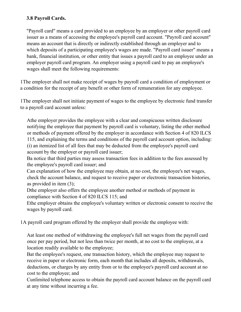## **3.8 Payroll Cards.**

"Payroll card" means a card provided to an employee by an employer or other payroll card issuer as a means of accessing the employee's payroll card account. "Payroll card account" means an account that is directly or indirectly established through an employer and to which deposits of a participating employee's wages are made. "Payroll card issuer" means a bank, financial institution, or other entity that issues a payroll card to an employee under an employer payroll card program. An employer using a payroll card to pay an employee's wages shall meet the following requirements:

1The employer shall not make receipt of wages by payroll card a condition of employment or a condition for the receipt of any benefit or other form of remuneration for any employee.

1The employer shall not initiate payment of wages to the employee by electronic fund transfer to a payroll card account unless:

Athe employer provides the employee with a clear and conspicuous written disclosure notifying the employee that payment by payroll card is voluntary, listing the other method or methods of payment offered by the employer in accordance with Section 4 of 820 ILCS 115, and explaining the terms and conditions of the payroll card account option, including: (i) an itemized list of all fees that may be deducted from the employee's payroll card account by the employer or payroll card issuer;

Ba notice that third parties may assess transaction fees in addition to the fees assessed by the employee's payroll card issuer; and

Can explanation of how the employee may obtain, at no cost, the employee's net wages, check the account balance, and request to receive paper or electronic transaction histories, as provided in item (3);

Dthe employer also offers the employee another method or methods of payment in compliance with Section 4 of 820 ILCS 115; and

Ethe employer obtains the employee's voluntary written or electronic consent to receive the wages by payroll card.

1A payroll card program offered by the employer shall provide the employee with:

Aat least one method of withdrawing the employee's full net wages from the payroll card once per pay period, but not less than twice per month, at no cost to the employee, at a location readily available to the employee;

Bat the employee's request, one transaction history, which the employee may request to receive in paper or electronic form, each month that includes all deposits, withdrawals, deductions, or charges by any entity from or to the employee's payroll card account at no cost to the employee; and

Cunlimited telephone access to obtain the payroll card account balance on the payroll card at any time without incurring a fee.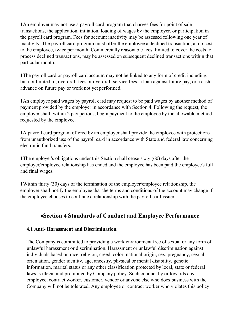1An employer may not use a payroll card program that charges fees for point of sale transactions, the application, initiation, loading of wages by the employer, or participation in the payroll card program. Fees for account inactivity may be assessed following one year of inactivity. The payroll card program must offer the employee a declined transaction, at no cost to the employee, twice per month. Commercially reasonable fees, limited to cover the costs to process declined transactions, may be assessed on subsequent declined transactions within that particular month.

1The payroll card or payroll card account may not be linked to any form of credit including, but not limited to, overdraft fees or overdraft service fees, a loan against future pay, or a cash advance on future pay or work not yet performed.

1An employee paid wages by payroll card may request to be paid wages by another method of payment provided by the employer in accordance with Section 4. Following the request, the employer shall, within 2 pay periods, begin payment to the employee by the allowable method requested by the employee.

1A payroll card program offered by an employer shall provide the employee with protections from unauthorized use of the payroll card in accordance with State and federal law concerning electronic fund transfers.

1The employer's obligations under this Section shall cease sixty (60) days after the employer/employee relationship has ended and the employee has been paid the employee's full and final wages.

1Within thirty (30) days of the termination of the employer/employee relationship, the employer shall notify the employee that the terms and conditions of the account may change if the employee chooses to continue a relationship with the payroll card issuer.

# ·**Section 4 Standards of Conduct and Employee Performance**

#### **4.1 Anti- Harassment and Discrimination.**

The Company is committed to providing a work environment free of sexual or any form of unlawful harassment or discrimination. Harassment or unlawful discrimination against individuals based on race, religion, creed, color, national origin, sex, pregnancy, sexual orientation, gender identity, age, ancestry, physical or mental disability, genetic information, marital status or any other classification protected by local, state or federal laws is illegal and prohibited by Company policy. Such conduct by or towards any employee, contract worker, customer, vendor or anyone else who does business with the Company will not be tolerated. Any employee or contract worker who violates this policy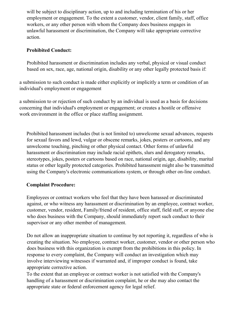will be subject to disciplinary action, up to and including termination of his or her employment or engagement. To the extent a customer, vendor, client family, staff, office workers, or any other person with whom the Company does business engages in unlawful harassment or discrimination, the Company will take appropriate corrective action.

## **Prohibited Conduct:**

Prohibited harassment or discrimination includes any verbal, physical or visual conduct based on sex, race, age, national origin, disability or any other legally protected basis if:

a submission to such conduct is made either explicitly or implicitly a term or condition of an individual's employment or engagement

a submission to or rejection of such conduct by an individual is used as a basis for decisions concerning that individual's employment or engagement; or creates a hostile or offensive work environment in the office or place staffing assignment.

Prohibited harassment includes (but is not limited to) unwelcome sexual advances, requests for sexual favors and lewd, vulgar or obscene remarks, jokes, posters or cartoons, and any unwelcome touching, pinching or other physical contact. Other forms of unlawful harassment or discrimination may include racial epithets, slurs and derogatory remarks, stereotypes, jokes, posters or cartoons based on race, national origin, age, disability, marital status or other legally protected categories. Prohibited harassment might also be transmitted using the Company's electronic communications system, or through other on-line conduct.

#### **Complaint Procedure:**

Employees or contract workers who feel that they have been harassed or discriminated against, or who witness any harassment or discrimination by an employee, contract worker, customer, vendor, resident, Family/friend of resident, office staff, field staff, or anyone else who does business with the Company, should immediately report such conduct to their supervisor or any other member of management.

Do not allow an inappropriate situation to continue by not reporting it, regardless of who is creating the situation. No employee, contract worker, customer, vendor or other person who does business with this organization is exempt from the prohibitions in this policy. In response to every complaint, the Company will conduct an investigation which may involve interviewing witnesses if warranted and, if improper conduct is found, take appropriate corrective action.

To the extent that an employee or contract worker is not satisfied with the Company's handling of a harassment or discrimination complaint, he or she may also contact the appropriate state or federal enforcement agency for legal relief.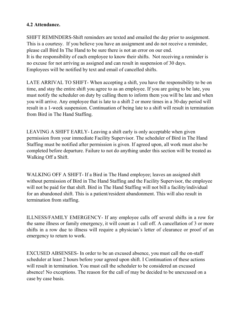#### **4.2 Attendance.**

SHIFT REMINDERS-Shift reminders are texted and emailed the day prior to assignment. This is a courtesy. If you believe you have an assignment and do not receive a reminder, please call Bird In The Hand to be sure there is not an error on our end. It is the responsibility of each employee to know their shifts. Not receiving a reminder is no excuse for not arriving as assigned and can result in suspension of 30 days. Employees will be notified by text and email of cancelled shifts.

LATE ARRIVAL TO SHIFT- When accepting a shift, you have the responsibility to be on time, and stay the entire shift you agree to as an employee. If you are going to be late, you must notify the scheduler on duty by calling them to inform them you will be late and when you will arrive. Any employee that is late to a shift 2 or more times in a 30-day period will result in a 1-week suspension. Continuation of being late to a shift will result in termination from Bird in The Hand Staffing.

LEAVING A SHIFT EARLY- Leaving a shift early is only acceptable when given permission from your immediate Facility Supervisor. The scheduler of Bird in The Hand Staffing must be notified after permission is given. If agreed upon, all work must also be completed before departure. Failure to not do anything under this section will be treated as Walking Off a Shift.

WALKING OFF A SHIFT- If a Bird in The Hand employee; leaves an assigned shift without permission of Bird in The Hand Staffing and the Facility Supervisor, the employee will not be paid for that shift. Bird in The Hand Staffing will not bill a facility/individual for an abandoned shift. This is a patient/resident abandonment. This will also result in termination from staffing.

ILLNESS/FAMILY EMERGENCY- If any employee calls off several shifts in a row for the same illness or family emergency, it will count as 1 call off. A cancellation of 3 or more shifts in a row due to illness will require a physician's letter of clearance or proof of an emergency to return to work.

EXCUSED ABSENSES- In order to be an excused absence, you must call the on-staff scheduler at least 2 hours before your agreed upon shift. I Continuation of these actions will result in termination. You must call the scheduler to be considered an excused absence! No exceptions. The reason for the call of may be decided to be unexcused on a case by case basis.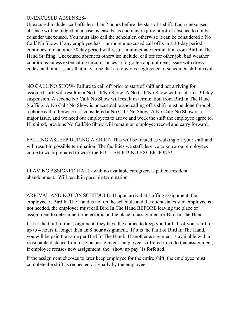#### UNEXCUSED ABSENSES-

Unexcused includes call offs less than 2 hours before the start of a shift. Each unexcused absence will be judged on a case by case basis and may require proof of absence to not be consider unexcused. You must also call the scheduler, otherwise it can be considered a No Call/ No Show. If any employee has 1 or more unexcused call off's in a 30-day period continues into another 30 day period will result in immediate termination from Bird in The Hand Staffing. Unexcused absences otherwise include, call off for other job, bad weather conditions unless extenuating circumstances, a forgotten appointment, Issue with dress codes, and other issues that may arise that are obvious negligence of scheduled shift arrival.

NO CALL/NO SHOW- Failure to call off prior to start of shift and not arriving for assigned shift will result in a No Call/No Show. A No Call/No Show will result in a 30-day suspension. A second No Call/ No Show will result in termination from Bird in The Hand Staffing. A No Call/ No Show is unacceptable and calling off a shift must be done through a phone call, otherwise it is considered a No Call/ No Show. A No Call/ No Show is a major issue, and we need our employees to arrive and work the shift the employee agree to. If rehired, previous No Call/No Show will remain on employee record and carry forward.

FALLING ASLEEP DURING A SHIFT- This will be treated as walking off your shift and will result in possible termination. The facilities we staff deserve to know our employees come to work prepared to work the FULL SHIFT! NO EXCEPTIONS!

LEAVING ASSIGNED HALL- with no available caregiver, is patient/resident abandonment. Will result in possible termination.

ARRIVAL AND NOT ON SCHEDULE- If upon arrival at staffing assignment, the employee of Bird In The Hand is not on the schedule and the client states said employee is not needed, the employee must call Bird In The Hand BEFORE leaving the place of assignment to determine if the error is on the place of assignment or Bird In The Hand.

If it at the fault of the assignment, they have the choice to keep you for half of your shift, or up to 4 hours if longer than an 8 hour assignment. If it is the fault of Bird In The Hand, you will be paid the same per Bird In The Hand. If another assignment is available with a reasonable distance from original assignment, employee is offered to go to that assignment, if employee refuses new assignment, the "show up pay" is forfeited.

If the assignment chooses to later keep employee for the entire shift, the employee must complete the shift as requested originally by the employee.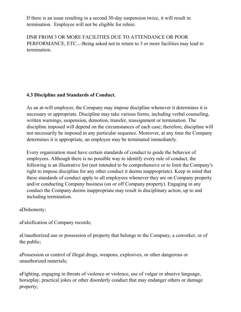If there is an issue resulting in a second 30-day suspension twice, it will result in termination. Employee will not be eligible for rehire.

DNR FROM 3 OR MORE FACILITIES DUE TO ATTENDANCE OR POOR PERFORMANCE, ETC...-Being asked not to return to 3 or more facilities may lead to termination.

#### **4.3 Discipline and Standards of Conduct.**

As an at-will employer, the Company may impose discipline whenever it determines it is necessary or appropriate. Discipline may take various forms, including verbal counseling, written warnings, suspension, demotion, transfer, reassignment or termination. The discipline imposed will depend on the circumstances of each case; therefore, discipline will not necessarily be imposed in any particular sequence. Moreover, at any time the Company determines it is appropriate, an employee may be terminated immediately.

Every organization must have certain standards of conduct to guide the behavior of employees. Although there is no possible way to identify every rule of conduct, the following is an illustrative list (not intended to be comprehensive or to limit the Company's right to impose discipline for any other conduct it deems inappropriate). Keep in mind that these standards of conduct apply to all employees whenever they are on Company property and/or conducting Company business (on or off Company property). Engaging in any conduct the Company deems inappropriate may result in disciplinary action, up to and including termination.

aDishonesty;

aFalsification of Company records;

aUnauthorized use or possession of property that belongs to the Company, a coworker, or of the public;

aPossession or control of illegal drugs, weapons, explosives, or other dangerous or unauthorized materials;

aFighting, engaging in threats of violence or violence, use of vulgar or abusive language, horseplay, practical jokes or other disorderly conduct that may endanger others or damage property;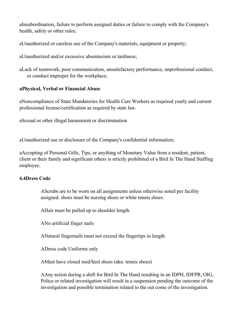aInsubordination, failure to perform assigned duties or failure to comply with the Company's health, safety or other rules;

aUnauthorized or careless use of the Company's materials, equipment or property;

aUnauthorized and/or excessive absenteeism or tardiness;

aLack of teamwork, poor communication, unsatisfactory performance, unprofessional conduct, or conduct improper for the workplace;

#### **aPhysical, Verbal or Financial Abuse**

aNoncompliance of State Mandatories for Health Care Workers as required yearly and current professional license/certification as required by state law.

aSexual or other illegal harassment or discrimination

aUnauthorized use or disclosure of the Company's confidential information;

aAccepting of Personal Gifts, Tips, or anything of Monetary Value from a resident, patient, client or their family and significant others is strictly prohibited of a Bird In The Hand Staffing employee.

#### **4.4Dress Code**

AScrubs are to be worn on all assignments unless otherwise noted per facility assigned. shoes must be nursing shoes or white tennis shoes.

AHair must be pulled up to shoulder length.

ANo artificial finger nails

ANatural fingernails must not exceed the fingertips in length

ADress code Uniforms only

AMust have closed toed/heel shoes (aka: tennis shoes)

AAny action during a shift for Bird In The Hand resulting in an IDPH, IDFPR, OIG, Police or related investigation will result in a suspension pending the outcome of the investigation and possible termination related to the out come of the investigation.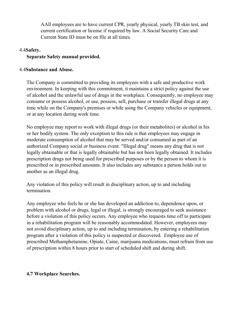AAll employees are to have current CPR, yearly physical, yearly TB skin test, and current certification or license if required by law. A Social Security Care and Current State ID must be on file at all times.

#### 4.4**Safety.**

#### **Separate Safety manual provided.**

#### 4.4**Substance and Abuse.**

The Company is committed to providing its employees with a safe and productive work environment. In keeping with this commitment, it maintains a strict policy against the use of alcohol and the unlawful use of drugs in the workplace. Consequently, no employee may consume or possess alcohol, or use, possess, sell, purchase or transfer illegal drugs at any time while on the Company's premises or while using the Company vehicles or equipment, or at any location during work time.

No employee may report to work with illegal drugs (or their metabolites) or alcohol in his or her bodily system. The only exception to this rule is that employees may engage in moderate consumption of alcohol that may be served and/or consumed as part of an authorized Company social or business event. "Illegal drug" means any drug that is not legally obtainable or that is legally obtainable but has not been legally obtained. It includes prescription drugs not being used for prescribed purposes or by the person to whom it is prescribed or in prescribed amounts. It also includes any substance a person holds out to another as an illegal drug.

Any violation of this policy will result in disciplinary action, up to and including termination.

Any employee who feels he or she has developed an addiction to, dependence upon, or problem with alcohol or drugs, legal or illegal, is strongly encouraged to seek assistance before a violation of this policy occurs. Any employee who requests time off to participate in a rehabilitation program will be reasonably accommodated. However, employees may not avoid disciplinary action, up to and including termination, by entering a rehabilitation program after a violation of this policy is suspected or discovered. Employee use of prescribed Methamphetamine, Opiate, Caine, marijuana medications, must refrain from use of prescription within 8 hours prior to start of scheduled shift and during shift.

#### **4.7 Workplace Searches.**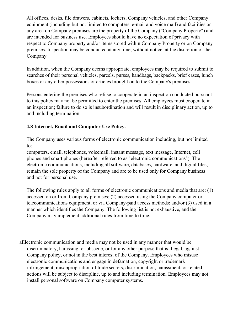All offices, desks, file drawers, cabinets, lockers, Company vehicles, and other Company equipment (including but not limited to computers, e-mail and voice mail) and facilities or any area on Company premises are the property of the Company ("Company Property") and are intended for business use. Employees should have no expectation of privacy with respect to Company property and/or items stored within Company Property or on Company premises. Inspection may be conducted at any time, without notice, at the discretion of the Company.

In addition, when the Company deems appropriate, employees may be required to submit to searches of their personal vehicles, parcels, purses, handbags, backpacks, brief cases, lunch boxes or any other possessions or articles brought on to the Company's premises.

Persons entering the premises who refuse to cooperate in an inspection conducted pursuant to this policy may not be permitted to enter the premises. All employees must cooperate in an inspection; failure to do so is insubordination and will result in disciplinary action, up to and including termination.

#### **4.8 Internet, Email and Computer Use Policy.**

The Company uses various forms of electronic communication including, but not limited to:

computers, email, telephones, voicemail, instant message, text message, Internet, cell phones and smart phones (hereafter referred to as "electronic communications"). The electronic communications, including all software, databases, hardware, and digital files, remain the sole property of the Company and are to be used only for Company business and not for personal use.

The following rules apply to all forms of electronic communications and media that are: (1) accessed on or from Company premises; (2) accessed using the Company computer or telecommunications equipment, or via Company-paid access methods; and/or (3) used in a manner which identifies the Company. The following list is not exhaustive, and the Company may implement additional rules from time to time.

aElectronic communication and media may not be used in any manner that would be discriminatory, harassing, or obscene, or for any other purpose that is illegal, against Company policy, or not in the best interest of the Company. Employees who misuse electronic communications and engage in defamation, copyright or trademark infringement, misappropriation of trade secrets, discrimination, harassment, or related actions will be subject to discipline, up to and including termination. Employees may not install personal software on Company computer systems.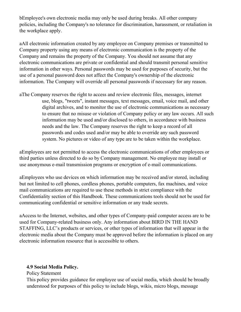bEmployee's own electronic media may only be used during breaks. All other company policies, including the Company's no tolerance for discrimination, harassment, or retaliation in the workplace apply.

aAll electronic information created by any employee on Company premises or transmitted to Company property using any means of electronic communication is the property of the Company and remains the property of the Company. You should not assume that any electronic communications are private or confidential and should transmit personal sensitive information in other ways. Personal passwords may be used for purposes of security, but the use of a personal password does not affect the Company's ownership of the electronic information. The Company will override all personal passwords if necessary for any reason.

aThe Company reserves the right to access and review electronic files, messages, internet use, blogs, "tweets", instant messages, text messages, email, voice mail, and other digital archives, and to monitor the use of electronic communications as necessary to ensure that no misuse or violation of Company policy or any law occurs. All such information may be used and/or disclosed to others, in accordance with business needs and the law. The Company reserves the right to keep a record of all passwords and codes used and/or may be able to override any such password system. No pictures or video of any type are to be taken within the workplace.

aEmployees are not permitted to access the electronic communications of other employees or third parties unless directed to do so by Company management. No employee may install or use anonymous e-mail transmission programs or encryption of e-mail communications.

aEmployees who use devices on which information may be received and/or stored, including but not limited to cell phones, cordless phones, portable computers, fax machines, and voice mail communications are required to use these methods in strict compliance with the Confidentiality section of this Handbook. These communications tools should not be used for communicating confidential or sensitive information or any trade secrets.

aAccess to the Internet, websites, and other types of Company-paid computer access are to be used for Company-related business only. Any information about BIRD IN THE HAND STAFFING, LLC's products or services, or other types of information that will appear in the electronic media about the Company must be approved before the information is placed on any electronic information resource that is accessible to others.

#### **4.9 Social Media Policy.**

Policy Statement

This policy provides guidance for employee use of social media, which should be broadly understood for purposes of this policy to include blogs, wikis, micro blogs, message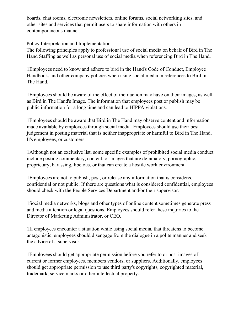boards, chat rooms, electronic newsletters, online forums, social networking sites, and other sites and services that permit users to share information with others in contemporaneous manner.

Policy Interpretation and Implementation

The following principles apply to professional use of social media on behalf of Bird in The Hand Staffing as well as personal use of social media when referencing Bird in The Hand.

1Employees need to know and adhere to bird in the Hand's Code of Conduct, Employee Handbook, and other company policies when using social media in references to Bird in The Hand.

1Employees should be aware of the effect of their action may have on their images, as well as Bird in The Hand's Image. The information that employees post or publish may be public information for a long time and can lead to HIPPA violations.

1Employees should be aware that Bird in The Hand may observe content and information made available by employees through social media. Employees should use their best judgement in posting material that is neither inappropriate or harmful to Bird in The Hand, It's employees, or customers.

1Although not an exclusive list, some specific examples of prohibited social media conduct include posting commentary, content, or images that are defamatory, pornographic, proprietary, harassing, libelous, or that can create a hostile work environment.

1Employees are not to publish, post, or release any information that is considered confidential or not public. If there are questions what is considered confidential, employees should check with the People Services Department and/or their supervisor.

1Social media networks, blogs and other types of online content sometimes generate press and media attention or legal questions. Employees should refer these inquiries to the Director of Marketing Administrator, or CEO.

1If employees encounter a situation while using social media, that threatens to become antagonistic, employees should disengage from the dialogue in a polite manner and seek the advice of a supervisor.

1Employees should get appropriate permission before you refer to or post images of current or former employees, members vendors, or suppliers. Additionally, employees should get appropriate permission to use third party's copyrights, copyrighted material, trademark, service marks or other intellectual property.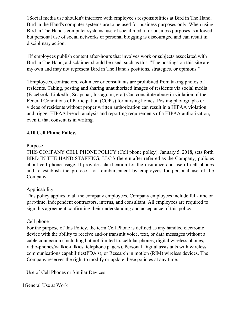1Social media use shouldn't interfere with employee's responsibilities at Bird in The Hand. Bird in the Hand's computer systems are to be used for business purposes only. When using Bird in The Hand's computer systems, use of social media for business purposes is allowed but personal use of social networks or personal blogging is discouraged and can result in disciplinary action.

1If employees publish content after-hours that involves work or subjects associated with Bird in The Hand, a disclaimer should be used, such as this: "The postings on this site are my own and may not represent Bird in The Hand's positions, strategies, or opinions."

1Employees, contractors, volunteer or consultants are prohibited from taking photos of residents. Taking, posting and sharing unauthorized images of residents via social media (Facebook, LinkedIn, Snapchat, Instagram, etc.) Can constitute abuse in violation of the Federal Conditions of Participation (COP's) for nursing homes. Posting photographs or videos of residents without proper written authorization can result in a HIPAA violation and trigger HIPAA breach analysis and reporting requirements of a HIPAA authorization, even if that consent is in writing.

#### **4.10 Cell Phone Policy.**

#### Purpose

THIS COMPANY CELL PHONE POLICY (Cell phone policy), January 5, 2018, sets forth BIRD IN THE HAND STAFFING, LLC'S (herein after referred as the Company) policies about cell phone usage. It provides clarification for the insurance and use of cell phones and to establish the protocol for reimbursement by employees for personal use of the Company.

#### Applicability

This policy applies to all the company employees. Company employees include full-time or part-time, independent contractors, interns, and consultant. All employees are required to sign this agreement confirming their understanding and acceptance of this policy.

#### Cell phone

For the purpose of this Policy, the term Cell Phone is defined as any handled electronic device with the ability to receive and/or transmit voice, text, or data messages without a cable connection (Including but not limited to, cellular phones, digital wireless phones, radio-phones/walkie-talkies, telephone pagers), Personal Digital assistants with wireless communications capabilities(PDA's), or Research in motion (RIM) wireless devices. The Company reserves the right to modify or update these policies at any time.

Use of Cell Phones or Similar Devices

1General Use at Work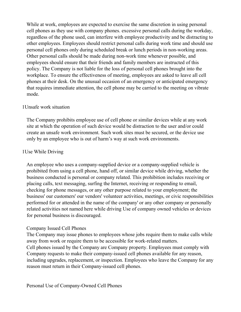While at work, employees are expected to exercise the same discretion in using personal cell phones as they use with company phones. excessive personal calls during the workday, regardless of the phone used, can interfere with employee productivity and be distracting to other employees. Employees should restrict personal calls during work time and should use personal cell phones only during scheduled break or lunch periods in non-working areas. Other personal calls should be made during non-work time whenever possible, and employees should ensure that their friends and family members are instructed of this policy. The Company is not liable for the loss of personal cell phones brought into the workplace. To ensure the effectiveness of meeting, employees are asked to leave all cell phones at their desk. On the unusual occasion of an emergency or anticipated emergency that requires immediate attention, the cell phone may be carried to the meeting on vibrate mode.

#### 1Unsafe work situation

The Company prohibits employee use of cell phone or similar devices while at any work site at which the operation of such device would be distraction to the user and/or could create an unsafe work environment. Such work sites must be secured, or the device use only by an employee who is out of harm's way at such work environments.

#### 1Use While Driving

An employee who uses a company-supplied device or a company-supplied vehicle is prohibited from using a cell phone, hand off, or similar device while driving, whether the business conducted is personal or company related. This prohibition includes receiving or placing calls, text messaging, surfing the Internet, receiving or responding to email, checking for phone messages, or any other purpose related to your employment; the business' our customers' our vendors' volunteer activities, meetings, or civic responsibilities performed for or attended in the name of the company' or any other company or personally related activities not named here while driving Use of company owned vehicles or devices for personal business is discouraged.

#### Company Issued Cell Phones

The Company may issue phones to employees whose jobs require them to make calls while away from work or require them to be accessible for work-related matters. Cell phones issued by the Company are Company property. Employees must comply with Company requests to make their company-issued cell phones available for any reason, including upgrades, replacement, or inspection. Employees who leave the Company for any reason must return in their Company-issued cell phones.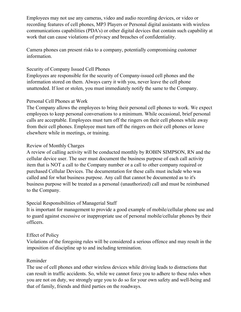Employees may not use any cameras, video and audio recording devices, or video or recording features of cell phones, MP3 Players or Personal digital assistants with wireless communications capabilities (PDA's) or other digital devices that contain such capability at work that can cause violations of privacy and breaches of confidentiality.

Camera phones can present risks to a company, potentially compromising customer information.

#### Security of Company Issued Cell Phones

Employees are responsible for the security of Company-issued cell phones and the information stored on them. Always carry it with you, never leave the cell phone unattended. If lost or stolen, you must immediately notify the same to the Company.

#### Personal Cell Phones at Work

The Company allows the employees to bring their personal cell phones to work. We expect employees to keep personal conversations to a minimum. While occasional, brief personal calls are acceptable. Employees must turn off the ringers on their cell phones while away from their cell phones. Employee must turn off the ringers on their cell phones or leave elsewhere while in meetings, or training.

#### Review of Monthly Charges

A review of calling activity will be conducted monthly by ROBIN SIMPSON, RN and the cellular device user. The user must document the business purpose of each call activity item that is NOT a call to the Company number or a call to other company required or purchased Cellular Devices. The documentation for these calls must include who was called and for what business purpose. Any call that cannot be documented as to it's business purpose will be treated as a personal (unauthorized) call and must be reimbursed to the Company.

#### Special Responsibilities of Managerial Staff

It is important for management to provide a good example of mobile/cellular phone use and to guard against excessive or inappropriate use of personal mobile/cellular phones by their officers.

#### Effect of Policy

Violations of the foregoing rules will be considered a serious offence and may result in the imposition of discipline up to and including termination.

#### Reminder

The use of cell phones and other wireless devices while driving leads to distractions that can result in traffic accidents. So, while we cannot force you to adhere to these rules when you are not on duty, we strongly urge you to do so for your own safety and well-being and that of family, friends and third parties on the roadways.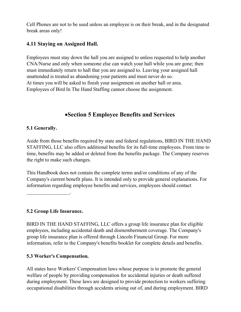Cell Phones are not to be used unless an employee is on their break, and in the designated break areas only!

# **4.11 Staying on Assigned Hall.**

Employees must stay down the hall you are assigned to unless requested to help another CNA/Nurse and only when someone else can watch your hall while you are gone; then must immediately return to hall that you are assigned to. Leaving your assigned hall unattended is treated as abandoning your patients and must never do so. At times you will be asked to finish your assignment on another hall or area. Employees of Bird In The Hand Staffing cannot choose the assignment.

# ·**Section 5 Employee Benefits and Services**

## **5.1 Generally.**

Aside from those benefits required by state and federal regulations, BIRD IN THE HAND STAFFING, LLC also offers additional benefits for its full-time employees. From time to time, benefits may be added or deleted from the benefits package. The Company reserves the right to make such changes.

This Handbook does not contain the complete terms and/or conditions of any of the Company's current benefit plans. It is intended only to provide general explanations. For information regarding employee benefits and services, employees should contact

**5.2 Group Life Insurance.**

 $\mathcal{L}$ 

BIRD IN THE HAND STAFFING, LLC offers a group life insurance plan for eligible employees, including accidental death and dismemberment coverage. The Company's group life insurance plan is offered through Lincoln Financial Group. For more information, refer to the Company's benefits booklet for complete details and benefits.

# **5.3 Worker's Compensation.**

All states have Workers' Compensation laws whose purpose is to promote the general welfare of people by providing compensation for accidental injuries or death suffered during employment. These laws are designed to provide protection to workers suffering occupational disabilities through accidents arising out of, and during employment. BIRD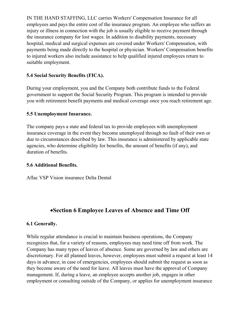IN THE HAND STAFFING, LLC carries Workers' Compensation Insurance for all employees and pays the entire cost of the insurance program. An employee who suffers an injury or illness in connection with the job is usually eligible to receive payment through the insurance company for lost wages. In addition to disability payments, necessary hospital, medical and surgical expenses are covered under Workers' Compensation, with payments being made directly to the hospital or physician. Workers' Compensation benefits to injured workers also include assistance to help qualified injured employees return to suitable employment.

#### **5.4 Social Security Benefits (FICA).**

During your employment, you and the Company both contribute funds to the Federal government to support the Social Security Program. This program is intended to provide you with retirement benefit payments and medical coverage once you reach retirement age.

## **5.5 Unemployment Insurance.**

The company pays a state and federal tax to provide employees with unemployment insurance coverage in the event they become unemployed through no fault of their own or due to circumstances described by law. This insurance is administered by applicable state agencies, who determine eligibility for benefits, the amount of benefits (if any), and duration of benefits.

#### **5.6 Additional Benefits.**

Aflac VSP Vision insurance Delta Dental

# ·**Section 6 Employee Leaves of Absence and Time Off**

# **6.1 Generally.**

While regular attendance is crucial to maintain business operations, the Company recognizes that, for a variety of reasons, employees may need time off from work. The Company has many types of leaves of absence. Some are governed by law and others are discretionary. For all planned leaves, however, employees must submit a request at least 14 days in advance; in case of emergencies, employees should submit the request as soon as they become aware of the need for leave. All leaves must have the approval of Company management. If, during a leave, an employee accepts another job, engages in other employment or consulting outside of the Company, or applies for unemployment insurance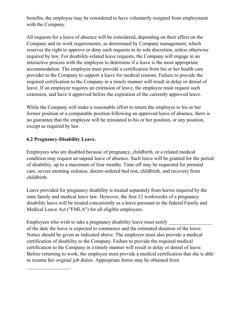benefits, the employee may be considered to have voluntarily resigned from employment with the Company.

All requests for a leave of absence will be considered, depending on their effect on the Company and its work requirements, as determined by Company management, which reserves the right to approve or deny such requests in its sole discretion, unless otherwise required by law. For disability-related leave requests, the Company will engage in an interactive process with the employee to determine if a leave is the most appropriate accommodation. The employee must provide a certification from his or her health care provider to the Company to support a leave for medical reasons. Failure to provide the required certification to the Company in a timely manner will result in delay or denial of leave. If an employee requires an extension of leave, the employee must request such extension, and have it approved before the expiration of the currently approved leave.

While the Company will make a reasonable effort to return the employee to his or her former position or a comparable position following an approved leave of absence, there is no guarantee that the employee will be reinstated to his or her position, or any position, except as required by law.

#### **6.2 Pregnancy-Disability Leave.**

 $\mathcal{L}_\text{max}$  and  $\mathcal{L}_\text{max}$ 

Employees who are disabled because of pregnancy, childbirth, or a related medical condition may request an unpaid leave of absence. Such leave will be granted for the period of disability, up to a maximum of four months. Time off may be requested for prenatal care, severe morning sickness, doctor-ordered bed rest, childbirth, and recovery from childbirth.

Leave provided for pregnancy disability is treated separately from leaves required by the state family and medical leave law. However, the first 12 workweeks of a pregnancy disability leave will be treated concurrently as a leave pursuant to the federal Family and Medical Leave Act ("FMLA") for all eligible employees.

Employees who wish to take a pregnancy disability leave must notify of the date the leave is expected to commence and the estimated duration of the leave. Notice should be given as indicated above. The employee must also provide a medical certification of disability to the Company. Failure to provide the required medical certification to the Company in a timely manner will result in delay or denial of leave. Before returning to work, the employee must provide a medical certification that she is able to resume her original job duties. Appropriate forms may be obtained from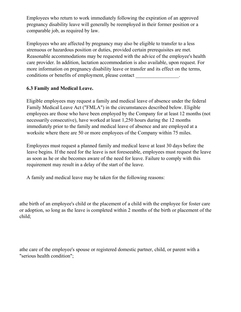Employees who return to work immediately following the expiration of an approved pregnancy disability leave will generally be reemployed in their former position or a comparable job, as required by law.

Employees who are affected by pregnancy may also be eligible to transfer to a less strenuous or hazardous position or duties, provided certain prerequisites are met. Reasonable accommodations may be requested with the advice of the employee's health care provider. In addition, lactation accommodation is also available, upon request. For more information on pregnancy disability leave or transfer and its effect on the terms, conditions or benefits of employment, please contact  $\cdot$ 

#### **6.3 Family and Medical Leave.**

Eligible employees may request a family and medical leave of absence under the federal Family Medical Leave Act ("FMLA") in the circumstances described below. Eligible employees are those who have been employed by the Company for at least 12 months (not necessarily consecutive), have worked at least 1,250 hours during the 12 months immediately prior to the family and medical leave of absence and are employed at a worksite where there are 50 or more employees of the Company within 75 miles.

Employees must request a planned family and medical leave at least 30 days before the leave begins. If the need for the leave is not foreseeable, employees must request the leave as soon as he or she becomes aware of the need for leave. Failure to comply with this requirement may result in a delay of the start of the leave.

A family and medical leave may be taken for the following reasons:

athe birth of an employee's child or the placement of a child with the employee for foster care or adoption, so long as the leave is completed within 2 months of the birth or placement of the child;

athe care of the employee's spouse or registered domestic partner, child, or parent with a "serious health condition";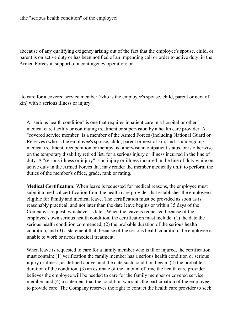athe "serious health condition" of the employee;

abecause of any qualifying exigency arising out of the fact that the employee's spouse, child, or parent is on active duty or has been notified of an impending call or order to active duty, in the Armed Forces in support of a contingency operation; or

ato care for a covered service member (who is the employee's spouse, child, parent or next of kin) with a serious illness or injury.

A "serious health condition" is one that requires inpatient care in a hospital or other medical care facility or continuing treatment or supervision by a health care provider. A "covered service member" is a member of the Armed Forces (including National Guard or Reserves) who is the employee's spouse, child, parent or next of kin, and is undergoing medical treatment, recuperation or therapy, is otherwise in outpatient status, or is otherwise on the temporary disability retired list, for a serious injury or illness incurred in the line of duty. A "serious illness or injury" is an injury or illness incurred in the line of duty while on active duty in the Armed Forces that may render the member medically unfit to perform the duties of the member's office, grade, rank or rating.

**Medical Certification:** When leave is requested for medical reasons, the employee must submit a medical certification from the health care provider that establishes the employee is eligible for family and medical leave. The certification must be provided as soon as is reasonably practical, and not later than the date leave begins or within 15 days of the Company's request, whichever is later. When the leave is requested because of the employee's own serious health condition, the certification must include: (1) the date the serious health condition commenced, (2) the probable duration of the serious health condition, and (3) a statement that, because of the serious health condition, the employee is unable to work or needs medical treatment.

When leave is requested to care for a family member who is ill or injured, the certification must contain: (1) verification the family member has a serious health condition or serious injury or illness, as defined above, and the date such condition began, (2) the probable duration of the condition, (3) an estimate of the amount of time the health care provider believes the employee will be needed to care for the family member or covered service member, and (4) a statement that the condition warrants the participation of the employee to provide care. The Company reserves the right to contact the health care provider to seek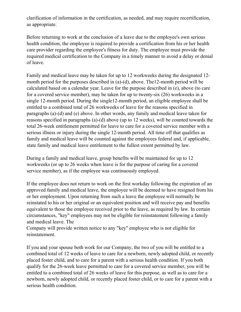clarification of information in the certification, as needed, and may require recertification, as appropriate.

Before returning to work at the conclusion of a leave due to the employee's own serious health condition, the employee is required to provide a certification from his or her health care provider regarding the employee's fitness for duty. The employee must provide the required medical certification to the Company in a timely manner to avoid a delay or denial of leave.

Family and medical leave may be taken for up to 12 workweeks during the designated 12 month period for the purposes described in (a)-(d), above. The12-month period will be calculated based on a calendar year. Leave for the purpose described in (e), above (to care for a covered service member), may be taken for up to twenty-six (26) workweeks in a single 12-month period. During the single12-month period, an eligible employee shall be entitled to a combined total of 26 workweeks of leave for the reasons specified in paragraphs (a)-(d) and (e) above. In other words, any family and medical leave taken for reasons specified in paragraphs (a)-(d) above (up to 12 weeks), will be counted towards the total 26-week entitlement permitted for leave to care for a covered service member with a serious illness or injury during the single 12-month period. All time off that qualifies as family and medical leave will be counted against the employees federal and, if applicable, state family and medical leave entitlement to the fullest extent permitted by law.

During a family and medical leave, group benefits will be maintained for up to 12 workweeks (or up to 26 weeks when leave is for the purpose of caring for a covered service member), as if the employee was continuously employed.

If the employee does not return to work on the first workday following the expiration of an approved family and medical leave, the employee will be deemed to have resigned from his or her employment. Upon returning from such a leave the employee will normally be reinstated to his or her original or an equivalent position and will receive pay and benefits equivalent to those the employee received prior to the leave, as required by law. In certain circumstances, "key" employees may not be eligible for reinstatement following a family and medical leave. The

Company will provide written notice to any "key" employee who is not eligible for reinstatement.

If you and your spouse both work for our Company, the two of you will be entitled to a combined total of 12 weeks of leave to care for a newborn, newly adopted child, or recently placed foster child, and to care for a parent with a serious health condition. If you both qualify for the 26-week leave permitted to care for a covered service member, you will be entitled to a combined total of 26 weeks of leave for this purpose, as well as to care for a newborn, newly adopted child, or recently placed foster child, or to care for a parent with a serious health condition.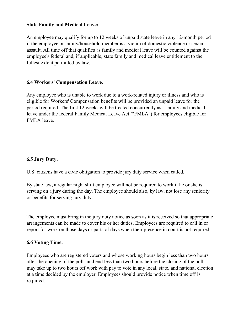#### **State Family and Medical Leave:**

An employee may qualify for up to 12 weeks of unpaid state leave in any 12-month period if the employee or family/household member is a victim of domestic violence or sexual assault. All time off that qualifies as family and medical leave will be counted against the employee's federal and, if applicable, state family and medical leave entitlement to the fullest extent permitted by law.

#### **6.4 Workers' Compensation Leave.**

Any employee who is unable to work due to a work-related injury or illness and who is eligible for Workers' Compensation benefits will be provided an unpaid leave for the period required. The first 12 weeks will be treated concurrently as a family and medical leave under the federal Family Medical Leave Act ("FMLA") for employees eligible for FMLA leave.

#### **6.5 Jury Duty.**

U.S. citizens have a civic obligation to provide jury duty service when called.

By state law, a regular night shift employee will not be required to work if he or she is serving on a jury during the day. The employee should also, by law, not lose any seniority or benefits for serving jury duty.

The employee must bring in the jury duty notice as soon as it is received so that appropriate arrangements can be made to cover his or her duties. Employees are required to call in or report for work on those days or parts of days when their presence in court is not required.

#### **6.6 Voting Time.**

Employees who are registered voters and whose working hours begin less than two hours after the opening of the polls and end less than two hours before the closing of the polls may take up to two hours off work with pay to vote in any local, state, and national election at a time decided by the employer. Employees should provide notice when time off is required.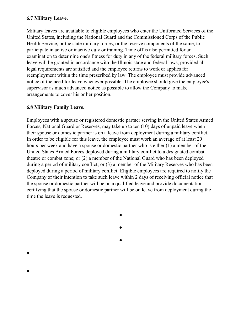#### **6.7 Military Leave.**

Military leaves are available to eligible employees who enter the Uniformed Services of the United States, including the National Guard and the Commissioned Corps of the Public Health Service, or the state military forces, or the reserve components of the same, to participate in active or inactive duty or training. Time off is also permitted for an examination to determine one's fitness for duty in any of the federal military forces. Such leave will be granted in accordance with the Illinois state and federal laws, provided all legal requirements are satisfied and the employee returns to work or applies for reemployment within the time prescribed by law. The employee must provide advanced notice of the need for leave whenever possible. The employee should give the employee's supervisor as much advanced notice as possible to allow the Company to make arrangements to cover his or her position.

#### **6.8 Military Family Leave.**

·

·

Employees with a spouse or registered domestic partner serving in the United States Armed Forces, National Guard or Reserves, may take up to ten (10) days of unpaid leave when their spouse or domestic partner is on a leave from deployment during a military conflict. In order to be eligible for this leave, the employee must work an average of at least 20 hours per week and have a spouse or domestic partner who is either (1) a member of the United States Armed Forces deployed during a military conflict to a designated combat theatre or combat zone; or (2) a member of the National Guard who has been deployed during a period of military conflict; or (3) a member of the Military Reserves who has been deployed during a period of military conflict. Eligible employees are required to notify the Company of their intention to take such leave within 2 days of receiving official notice that the spouse or domestic partner will be on a qualified leave and provide documentation certifying that the spouse or domestic partner will be on leave from deployment during the time the leave is requested.

·

·

·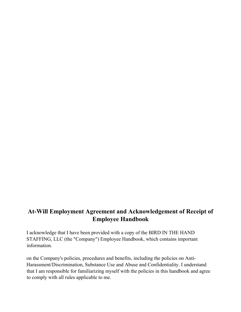# **At-Will Employment Agreement and Acknowledgement of Receipt of Employee Handbook**

I acknowledge that I have been provided with a copy of the BIRD IN THE HAND STAFFING, LLC (the "Company") Employee Handbook, which contains important information.

on the Company's policies, procedures and benefits, including the policies on Anti-Harassment/Discrimination, Substance Use and Abuse and Confidentiality. I understand that I am responsible for familiarizing myself with the policies in this handbook and agree to comply with all rules applicable to me.